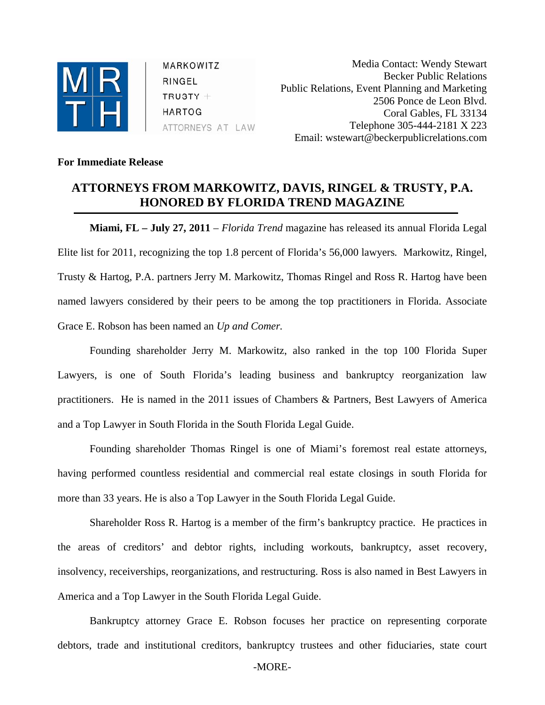

MARKOWITZ RINGEL  $TRUSTY +$ **HARTOG** ATTORNEYS AT LAW

Media Contact: Wendy Stewart Becker Public Relations Public Relations, Event Planning and Marketing 2506 Ponce de Leon Blvd. Coral Gables, FL 33134 Telephone 305-444-2181 X 223 Email: wstewart@beckerpublicrelations.com

## **For Immediate Release**

## **ATTORNEYS FROM MARKOWITZ, DAVIS, RINGEL & TRUSTY, P.A. HONORED BY FLORIDA TREND MAGAZINE**

**Miami, FL – July 27, 2011** – *Florida Trend* magazine has released its annual Florida Legal Elite list for 2011, recognizing the top 1.8 percent of Florida's 56,000 lawyers*.* Markowitz, Ringel, Trusty & Hartog, P.A. partners Jerry M. Markowitz, Thomas Ringel and Ross R. Hartog have been named lawyers considered by their peers to be among the top practitioners in Florida. Associate Grace E. Robson has been named an *Up and Comer.* 

Founding shareholder Jerry M. Markowitz, also ranked in the top 100 Florida Super Lawyers, is one of South Florida's leading business and bankruptcy reorganization law practitioners. He is named in the 2011 issues of Chambers & Partners, Best Lawyers of America and a Top Lawyer in South Florida in the South Florida Legal Guide.

Founding shareholder Thomas Ringel is one of Miami's foremost real estate attorneys, having performed countless residential and commercial real estate closings in south Florida for more than 33 years. He is also a Top Lawyer in the South Florida Legal Guide.

Shareholder Ross R. Hartog is a member of the firm's bankruptcy practice. He practices in the areas of creditors' and debtor rights, including workouts, bankruptcy, asset recovery, insolvency, receiverships, reorganizations, and restructuring. Ross is also named in Best Lawyers in America and a Top Lawyer in the South Florida Legal Guide.

Bankruptcy attorney Grace E. Robson focuses her practice on representing corporate debtors, trade and institutional creditors, bankruptcy trustees and other fiduciaries, state court